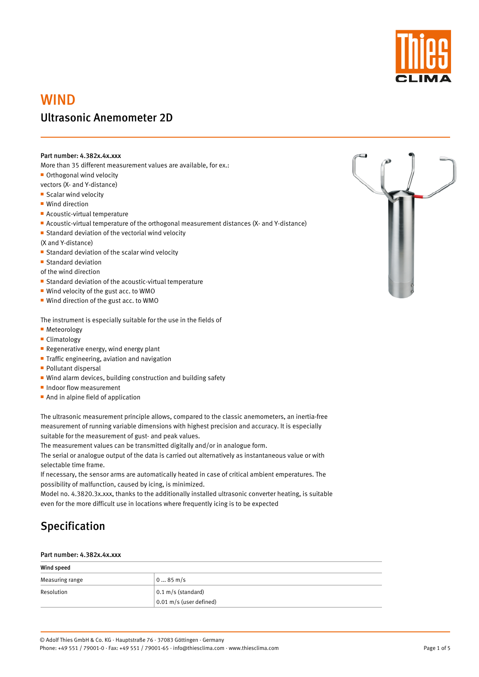

# WIND Ultrasonic Anemometer 2D

### Part number: 4.382x.4x.xxx

More than 35 different measurement values are available, for ex.:

■ Orthogonal wind velocity

vectors (X- and Y-distance)

**Scalar wind velocity** 

■ Wind direction

- **Acoustic-virtual temperature**
- Acoustic-virtual temperature of the orthogonal measurement distances (X- and Y-distance)
- **Standard deviation of the vectorial wind velocity**

(X and Y-distance)

- **Standard deviation of the scalar wind velocity**
- **Standard deviation**

of the wind direction

- **Standard deviation of the acoustic-virtual temperature**
- Wind velocity of the gust acc. to WMO
- Wind direction of the gust acc. to WMO

The instrument is especially suitable for the use in the fields of

- **Meteorology**
- Climatology
- **Regenerative energy, wind energy plant**
- **Traffic engineering, aviation and navigation**
- **Pollutant dispersal**
- Wind alarm devices, building construction and building safety
- Indoor flow measurement
- **And in alpine field of application**

The ultrasonic measurement principle allows, compared to the classic anemometers, an inertia-free measurement of running variable dimensions with highest precision and accuracy. It is especially suitable for the measurement of gust- and peak values.

The measurement values can be transmitted digitally and/or in analogue form.

The serial or analogue output of the data is carried out alternatively as instantaneous value or with selectable time frame.

If necessary, the sensor arms are automatically heated in case of critical ambient emperatures. The possibility of malfunction, caused by icing, is minimized.

Model no. 4.3820.3x.xxx, thanks to the additionally installed ultrasonic converter heating, is suitable even for the more difficult use in locations where frequently icing is to be expected





#### Part number: 4.382x.4x.xxx

| Wind speed      |                              |  |
|-----------------|------------------------------|--|
| Measuring range | $085$ m/s                    |  |
| Resolution      | $0.1 \text{ m/s}$ (standard) |  |
|                 | $0.01$ m/s (user defined)    |  |

Page 1 of 5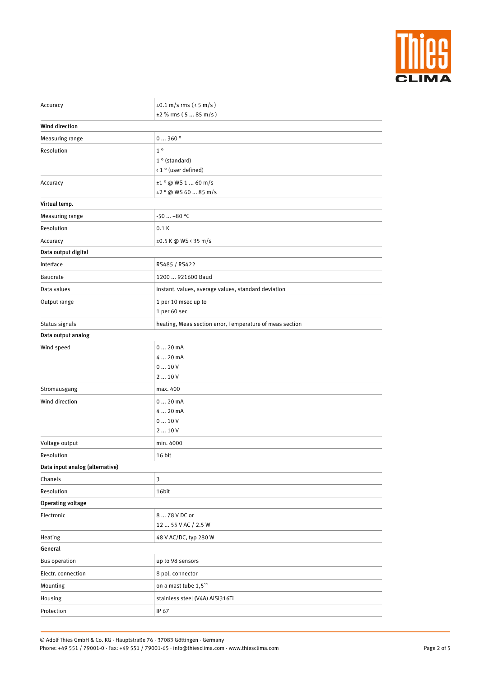

| Accuracy                        | $\pm 0.1$ m/s rms ( $\le$ 5 m/s)                         |  |
|---------------------------------|----------------------------------------------------------|--|
|                                 | $±2$ % rms (5  85 m/s)                                   |  |
| <b>Wind direction</b>           |                                                          |  |
| Measuring range                 | 0360°                                                    |  |
| Resolution                      | $1^{\circ}$                                              |  |
|                                 | $1°$ (standard)                                          |  |
|                                 | < 1 ° (user defined)                                     |  |
| Accuracy                        | $±1°$ @ WS 1  60 m/s                                     |  |
|                                 | $\pm 2$ ° @ WS 60  85 m/s                                |  |
| Virtual temp.                   |                                                          |  |
| Measuring range                 | $-50+80$ °C                                              |  |
| Resolution                      | 0.1K                                                     |  |
| Accuracy                        | ±0.5 K @ WS < 35 m/s                                     |  |
| Data output digital             |                                                          |  |
| Interface                       | RS485 / RS422                                            |  |
| Baudrate                        | 1200  921600 Baud                                        |  |
| Data values                     | instant. values, average values, standard deviation      |  |
| Output range                    | 1 per 10 msec up to                                      |  |
|                                 | 1 per 60 sec                                             |  |
| Status signals                  | heating, Meas section error, Temperature of meas section |  |
| Data output analog              |                                                          |  |
| Wind speed                      | 020mA                                                    |  |
|                                 | 4  20 mA                                                 |  |
|                                 | 010V                                                     |  |
|                                 | 210V                                                     |  |
| Stromausgang                    | max. 400                                                 |  |
| Wind direction                  | 020mA                                                    |  |
|                                 | 4  20 mA                                                 |  |
|                                 | 010V                                                     |  |
|                                 | 210V                                                     |  |
| Voltage output                  | min. 4000                                                |  |
| Resolution                      | 16 bit                                                   |  |
| Data input analog (alternative) |                                                          |  |
| Chanels                         | $\mathfrak{Z}$                                           |  |
| Resolution                      | 16bit                                                    |  |
| <b>Operating voltage</b>        |                                                          |  |

| 8  78 V DC or                   |
|---------------------------------|
| 12  55 V AC / 2.5 W             |
| 48 V AC/DC, typ 280 W           |
|                                 |
| up to 98 sensors                |
| 8 pol. connector                |
| on a mast tube 1,5"             |
| stainless steel (V4A) AiSi316Ti |
| IP 67                           |
|                                 |

Page 2 of 5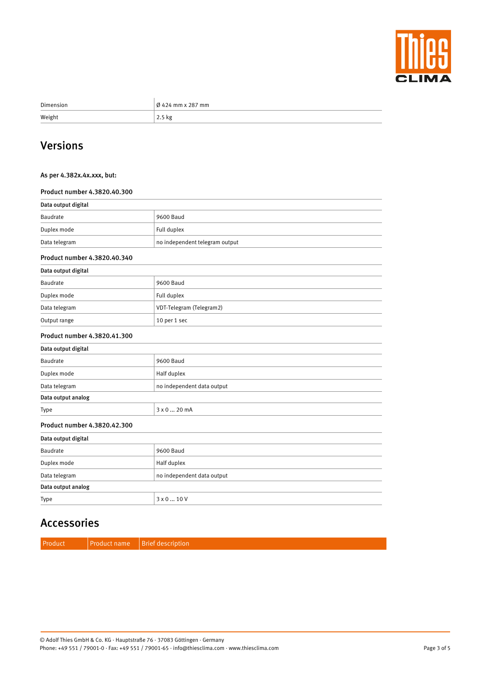

| Dimension | $\vert$ Ø 424 mm x 287 mm |
|-----------|---------------------------|
| Weight    | $2.5$ kg                  |

# Versions

### As per 4.382x.4x.xxx, but:

#### Product number 4.3820.40.300

| Data output digital          |                                |  |
|------------------------------|--------------------------------|--|
| Baudrate                     | 9600 Baud                      |  |
| Duplex mode                  | Full duplex                    |  |
| Data telegram                | no independent telegram output |  |
| Product number 4.3820.40.340 |                                |  |
| Data autout dicital          |                                |  |

| Data output digital |                          |  |
|---------------------|--------------------------|--|
| Baudrate            | 9600 Baud                |  |
| Duplex mode         | Full duplex              |  |
| Data telegram       | VDT-Telegram (Telegram2) |  |
| Output range        | 10 per 1 sec             |  |

#### Product number 4.3820.41.300

| Data output digital |                            |  |
|---------------------|----------------------------|--|
| Baudrate            | 9600 Baud                  |  |
| Duplex mode         | Half duplex                |  |
| Data telegram       | no independent data output |  |
| Data output analog  |                            |  |
| Type                | 3 x 0  20 mA               |  |

#### Product number 4.3820.42.300

| Data output digital |                            |  |
|---------------------|----------------------------|--|
| Baudrate            | 9600 Baud                  |  |
| Duplex mode         | Half duplex                |  |
| Data telegram       | no independent data output |  |
| Data output analog  |                            |  |
| Type                | $3 \times 0$ 10 V          |  |

## Accessories

| Product name   Brief description |
|----------------------------------|
|----------------------------------|

Page 3 of 5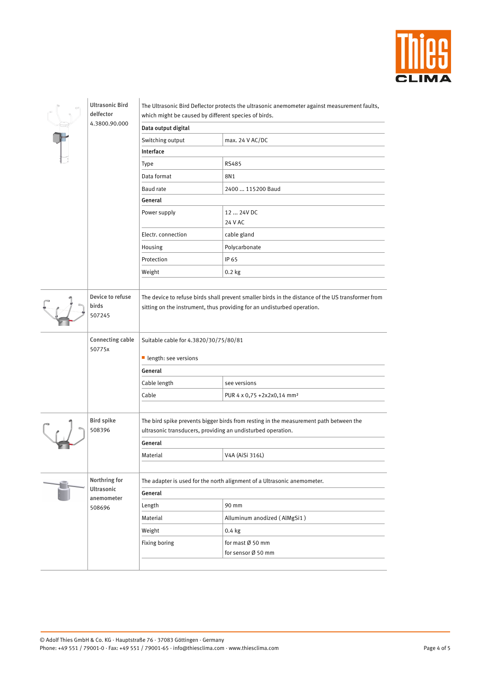

| delfector | <b>Ultrasonic Bird</b>              | which might be caused by different species of birds.                                                                                                                         | The Ultrasonic Bird Deflector protects the ultrasonic anemometer against measurement faults, |  |
|-----------|-------------------------------------|------------------------------------------------------------------------------------------------------------------------------------------------------------------------------|----------------------------------------------------------------------------------------------|--|
|           | 4.3800.90.000                       | Data output digital                                                                                                                                                          |                                                                                              |  |
|           |                                     | Switching output                                                                                                                                                             | max. 24 V AC/DC                                                                              |  |
|           |                                     | Interface                                                                                                                                                                    |                                                                                              |  |
|           |                                     | <b>Type</b>                                                                                                                                                                  | <b>RS485</b>                                                                                 |  |
|           |                                     | Data format                                                                                                                                                                  | 8N1                                                                                          |  |
|           |                                     | <b>Baud</b> rate                                                                                                                                                             | 2400  115200 Baud                                                                            |  |
|           |                                     | General                                                                                                                                                                      |                                                                                              |  |
|           |                                     | Power supply                                                                                                                                                                 | 12  24V DC<br>24 V AC                                                                        |  |
|           |                                     | Electr. connection                                                                                                                                                           | cable gland                                                                                  |  |
|           |                                     | Housing                                                                                                                                                                      | Polycarbonate                                                                                |  |
|           |                                     | Protection                                                                                                                                                                   | IP 65                                                                                        |  |
|           |                                     | Weight                                                                                                                                                                       | $0.2$ kg                                                                                     |  |
|           |                                     |                                                                                                                                                                              |                                                                                              |  |
|           | Device to refuse<br>birds<br>507245 | The device to refuse birds shall prevent smaller birds in the distance of the US transformer from<br>sitting on the instrument, thus providing for an undisturbed operation. |                                                                                              |  |
|           | <b>Connecting cable</b><br>50775x   | Suitable cable for 4.3820/30/75/80/81<br>length: see versions                                                                                                                |                                                                                              |  |
|           |                                     | General                                                                                                                                                                      |                                                                                              |  |
|           |                                     | Cable length                                                                                                                                                                 | see versions                                                                                 |  |
|           |                                     | Cable                                                                                                                                                                        | PUR 4 x 0,75 +2x2x0,14 mm <sup>2</sup>                                                       |  |
|           |                                     |                                                                                                                                                                              |                                                                                              |  |
|           | <b>Bird spike</b><br>508396         | The bird spike prevents bigger birds from resting in the measurement path between the<br>ultrasonic transducers, providing an undisturbed operation.                         |                                                                                              |  |
|           |                                     | General                                                                                                                                                                      |                                                                                              |  |
|           |                                     | Material                                                                                                                                                                     | V4A (AiSi 316L)                                                                              |  |
|           |                                     |                                                                                                                                                                              |                                                                                              |  |
|           | Northring for                       | The adapter is used for the north alignment of a Ultrasonic anemometer.                                                                                                      |                                                                                              |  |
|           | <b>Ultrasonic</b><br>anemometer     | General                                                                                                                                                                      |                                                                                              |  |
|           | 508696                              | Length                                                                                                                                                                       | 90 mm                                                                                        |  |
|           |                                     |                                                                                                                                                                              |                                                                                              |  |

| ンマンシン |               |                              |
|-------|---------------|------------------------------|
|       | Material      | Alluminum anodized (AlMgSi1) |
|       | Weight        | $0.4$ kg                     |
|       | Fixing boring | for mast Ø 50 mm             |
|       |               | for sensor Ø 50 mm           |
|       |               |                              |
|       |               |                              |